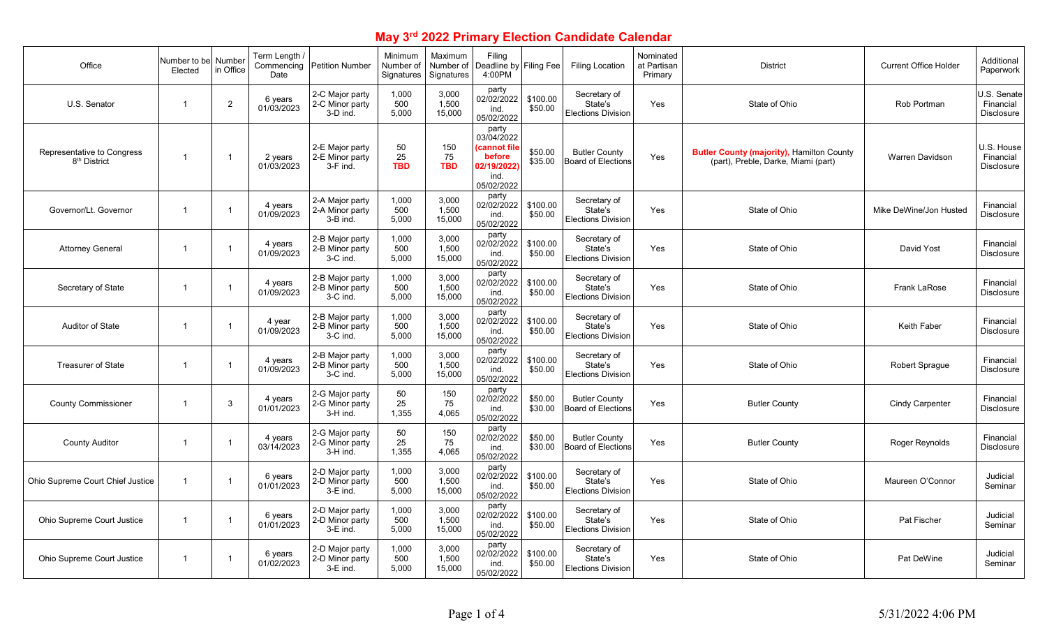## **May 3rd 2022 Primary Election Candidate Calendar**

| Office                                                 | Number to bel<br>Elected | Number<br>in Office | ، Term Length<br>Commencing<br>Date | <b>Petition Number</b>                           | Minimum<br>Number of<br>Signatures | Maximum<br>Number of<br>Signatures | Filing<br>Deadline by Filing Fee<br>4:00PM                                         |                     | <b>Filing Location</b>                               | Nominated<br>at Partisan<br>Primary | <b>District</b>                                                                         | <b>Current Office Holder</b> | Additional<br>Paperwork                       |
|--------------------------------------------------------|--------------------------|---------------------|-------------------------------------|--------------------------------------------------|------------------------------------|------------------------------------|------------------------------------------------------------------------------------|---------------------|------------------------------------------------------|-------------------------------------|-----------------------------------------------------------------------------------------|------------------------------|-----------------------------------------------|
| U.S. Senator                                           | $\mathbf{1}$             | $\overline{2}$      | 6 years<br>01/03/2023               | 2-C Major party<br>2-C Minor party<br>3-D ind.   | 1.000<br>500<br>5.000              | 3.000<br>1,500<br>15,000           | party<br>02/02/2022<br>ind.<br>05/02/2022                                          | \$100.00<br>\$50.00 | Secretary of<br>State's<br><b>Elections Division</b> | Yes                                 | State of Ohio                                                                           | Rob Portman                  | U.S. Senate<br>Financial<br><b>Disclosure</b> |
| Representative to Congress<br>8 <sup>th</sup> District | $\overline{1}$           |                     | 2 years<br>01/03/2023               | 2-E Major party<br>2-E Minor party<br>3-F ind.   | 50<br>25<br><b>TBD</b>             | 150<br>75<br><b>TBD</b>            | party<br>03/04/2022<br>(cannot file<br>before<br>02/19/2022)<br>ind.<br>05/02/2022 | \$50.00<br>\$35.00  | <b>Butler County</b><br><b>Board of Elections</b>    | Yes                                 | <b>Butler County (majority), Hamilton County</b><br>(part), Preble, Darke, Miami (part) | <b>Warren Davidson</b>       | U.S. House<br>Financial<br><b>Disclosure</b>  |
| Governor/Lt. Governor                                  | $\overline{1}$           |                     | 4 years<br>01/09/2023               | 2-A Major party<br>2-A Minor party<br>3-B ind.   | 1,000<br>500<br>5,000              | 3,000<br>1,500<br>15,000           | party<br>02/02/2022<br>ind.<br>05/02/2022                                          | \$100.00<br>\$50.00 | Secretary of<br>State's<br><b>Elections Division</b> | Yes                                 | State of Ohio                                                                           | Mike DeWine/Jon Husted       | Financial<br><b>Disclosure</b>                |
| <b>Attorney General</b>                                | $\overline{1}$           |                     | 4 years<br>01/09/2023               | 2-B Major party<br>2-B Minor party<br>3-C ind.   | 1,000<br>500<br>5,000              | 3,000<br>1,500<br>15,000           | party<br>02/02/2022<br>ind.<br>05/02/2022                                          | \$100.00<br>\$50.00 | Secretary of<br>State's<br><b>Elections Division</b> | Yes                                 | State of Ohio                                                                           | David Yost                   | Financial<br><b>Disclosure</b>                |
| Secretary of State                                     | $\overline{1}$           |                     | 4 years<br>01/09/2023               | 2-B Major party<br>2-B Minor party<br>3-C ind.   | 1,000<br>500<br>5,000              | 3,000<br>1,500<br>15,000           | party<br>02/02/2022<br>ind.<br>05/02/2022                                          | \$100.00<br>\$50.00 | Secretary of<br>State's<br><b>Elections Division</b> | Yes                                 | State of Ohio                                                                           | <b>Frank LaRose</b>          | Financial<br><b>Disclosure</b>                |
| <b>Auditor of State</b>                                | $\mathbf{1}$             |                     | 4 year<br>01/09/2023                | 2-B Major party<br>2-B Minor party<br>3-C ind.   | 1,000<br>500<br>5,000              | 3,000<br>1,500<br>15,000           | party<br>02/02/2022<br>ind.<br>05/02/2022                                          | \$100.00<br>\$50.00 | Secretary of<br>State's<br><b>Elections Division</b> | Yes                                 | State of Ohio                                                                           | <b>Keith Faber</b>           | Financial<br><b>Disclosure</b>                |
| <b>Treasurer of State</b>                              | $\mathbf{1}$             |                     | 4 years<br>01/09/2023               | 2-B Major party<br>2-B Minor party<br>3-C ind.   | 1,000<br>500<br>5,000              | 3,000<br>1,500<br>15,000           | party<br>02/02/2022<br>ind.<br>05/02/2022                                          | \$100.00<br>\$50.00 | Secretary of<br>State's<br><b>Elections Division</b> | Yes                                 | State of Ohio                                                                           | Robert Sprague               | Financial<br>Disclosure                       |
| <b>County Commissioner</b>                             | $\mathbf{1}$             | 3                   | 4 years<br>01/01/2023               | 2-G Major party<br>2-G Minor party<br>3-H ind.   | 50<br>25<br>1,355                  | 150<br>75<br>4,065                 | party<br>02/02/2022<br>ind.<br>05/02/2022                                          | \$50.00<br>\$30.00  | <b>Butler County</b><br>Board of Elections           | Yes                                 | <b>Butler County</b>                                                                    | <b>Cindy Carpenter</b>       | Financial<br>Disclosure                       |
| <b>County Auditor</b>                                  | $\overline{1}$           |                     | 4 years<br>03/14/2023               | 2-G Major party<br>2-G Minor party<br>3-H ind.   | 50<br>25<br>1,355                  | 150<br>75<br>4,065                 | party<br>02/02/2022<br>ind.<br>05/02/2022                                          | \$50.00<br>\$30.00  | <b>Butler County</b><br>Board of Elections           | Yes                                 | <b>Butler County</b>                                                                    | Roger Reynolds               | Financial<br><b>Disclosure</b>                |
| Ohio Supreme Court Chief Justice                       | $\overline{1}$           |                     | 6 years<br>01/01/2023               | 2-D Major party<br>2-D Minor party<br>3-E ind.   | 1,000<br>500<br>5,000              | 3,000<br>1,500<br>15,000           | party<br>02/02/2022<br>ind.<br>05/02/2022                                          | \$100.00<br>\$50.00 | Secretary of<br>State's<br><b>Elections Division</b> | Yes                                 | State of Ohio                                                                           | Maureen O'Connor             | Judicial<br>Seminar                           |
| Ohio Supreme Court Justice                             | $\overline{1}$           |                     | 6 years<br>01/01/2023               | 2-D Major party<br>2-D Minor party<br>$3-E$ ind. | 1,000<br>500<br>5,000              | 3,000<br>1,500<br>15,000           | party<br>02/02/2022<br>ind.<br>05/02/2022                                          | \$100.00<br>\$50.00 | Secretary of<br>State's<br><b>Elections Division</b> | Yes                                 | State of Ohio                                                                           | Pat Fischer                  | Judicial<br>Seminar                           |
| Ohio Supreme Court Justice                             | $\mathbf{1}$             |                     | 6 years<br>01/02/2023               | 2-D Major party<br>2-D Minor party<br>$3-E$ ind. | 1,000<br>500<br>5,000              | 3,000<br>1.500<br>15,000           | party<br>02/02/2022<br>ind.<br>05/02/2022                                          | \$100.00<br>\$50.00 | Secretary of<br>State's<br><b>Elections Division</b> | Yes                                 | State of Ohio                                                                           | Pat DeWine                   | Judicial<br>Seminar                           |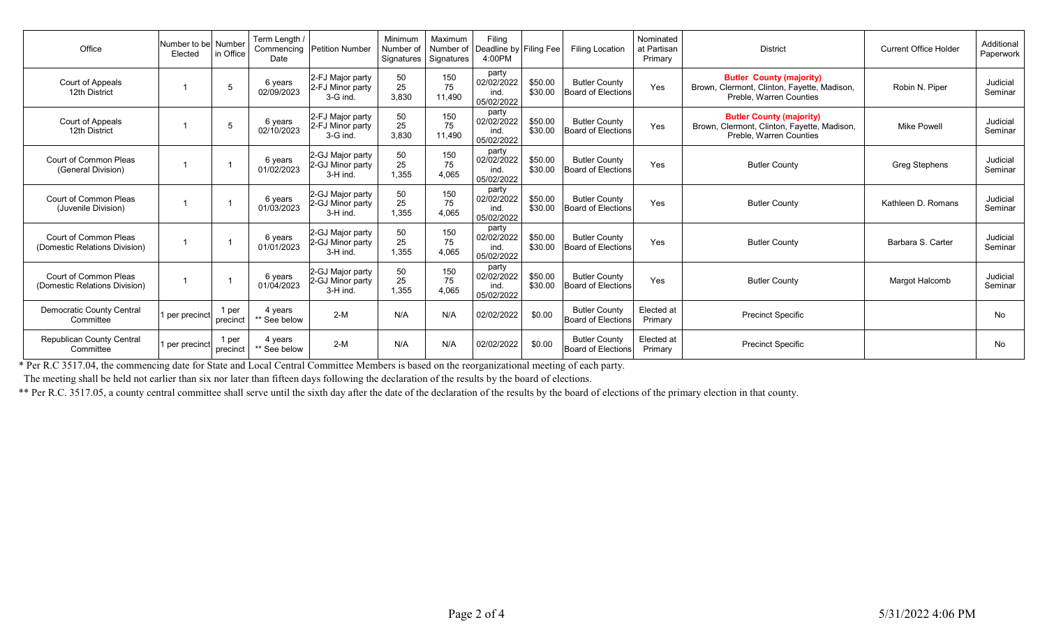| Office                                                 | Number to bel Number<br>Elected | in Office         | Term Length /<br>Date   | Commencing Petition Number                         | Minimum<br>Number of<br>Signatures | Maximum<br>Number of<br>Signatures | Filing<br>Deadline by Filing Fee<br>4:00PM |                    | <b>Filing Location</b>                            | Nominated<br>at Partisan<br>Primary | <b>District</b>                                                                                                  | <b>Current Office Holder</b> | Additional<br>Paperwork |
|--------------------------------------------------------|---------------------------------|-------------------|-------------------------|----------------------------------------------------|------------------------------------|------------------------------------|--------------------------------------------|--------------------|---------------------------------------------------|-------------------------------------|------------------------------------------------------------------------------------------------------------------|------------------------------|-------------------------|
| Court of Appeals<br>12th District                      |                                 |                   | 6 years<br>02/09/2023   | 2-FJ Major party<br>2-FJ Minor party<br>$3-G$ ind. | 50<br>25<br>3,830                  | 150<br>75<br>11.490                | party<br>02/02/2022<br>ind.<br>05/02/2022  | \$50.00<br>\$30.00 | <b>Butler County</b><br><b>Board of Elections</b> | Yes                                 | <b>Butler County (majority)</b><br>Brown, Clermont, Clinton, Fayette, Madison,<br>Preble, Warren Counties        | Robin N. Piper               | Judicial<br>Seminar     |
| Court of Appeals<br>12th District                      |                                 |                   | 6 years<br>02/10/2023   | 2-FJ Major party<br>2-FJ Minor party<br>3-G ind    | 50<br>25<br>3,830                  | 150<br>75<br>11.490                | party<br>02/02/2022<br>ind<br>05/02/2022   | \$50.00<br>\$30.00 | <b>Butler County</b><br><b>Board of Elections</b> | Yes                                 | <b>Butler County (majority)</b><br>Brown, Clermont, Clinton, Fayette, Madison,<br><b>Preble. Warren Counties</b> | <b>Mike Powell</b>           | Judicial<br>Seminar     |
| Court of Common Pleas<br>(General Division)            |                                 |                   | 6 years<br>01/02/2023   | 2-GJ Major party<br>2-GJ Minor party<br>3-H ind.   | 50<br>25<br>1,355                  | 150<br>75<br>4,065                 | party<br>02/02/2022<br>ind.<br>05/02/2022  | \$50.00<br>\$30.00 | <b>Butler County</b><br><b>Board of Elections</b> | Yes                                 | <b>Butler County</b>                                                                                             | <b>Greg Stephens</b>         | Judicial<br>Seminar     |
| Court of Common Pleas<br>(Juvenile Division)           |                                 |                   | 6 years<br>01/03/2023   | 2-GJ Major party<br>2-GJ Minor party<br>3-H ind    | 50<br>25<br>1,355                  | 150<br>75<br>4.065                 | party<br>02/02/2022<br>ind.<br>05/02/2022  | \$50.00<br>\$30.00 | <b>Butler County</b><br><b>Board of Elections</b> | Yes                                 | <b>Butler County</b>                                                                                             | Kathleen D. Romans           | Judicial<br>Seminar     |
| Court of Common Pleas<br>(Domestic Relations Division) |                                 |                   | 6 years<br>01/01/2023   | 2-GJ Major party<br>2-GJ Minor party<br>3-H ind.   | 50<br>25<br>1,355                  | 150<br>75<br>4.065                 | party<br>02/02/2022<br>ind.<br>05/02/2022  | \$50.00<br>\$30.00 | <b>Butler County</b><br><b>Board of Elections</b> | Yes                                 | <b>Butler County</b>                                                                                             | Barbara S. Carter            | Judicial<br>Seminar     |
| Court of Common Pleas<br>(Domestic Relations Division) |                                 |                   | 6 years<br>01/04/2023   | 2-GJ Major party<br>2-GJ Minor party<br>3-H ind.   | 50<br>25<br>1.355                  | 150<br>75<br>4.065                 | party<br>02/02/2022<br>ind.<br>05/02/2022  | \$50.00<br>\$30.00 | <b>Butler County</b><br><b>Board of Elections</b> | Yes                                 | <b>Butler County</b>                                                                                             | <b>Margot Halcomb</b>        | Judicial<br>Seminar     |
| <b>Democratic County Central</b><br>Committee          | per precinct                    | 1 per<br>precinct | 4 vears<br>** See below | $2-M$                                              | N/A                                | N/A                                | 02/02/2022                                 | \$0.00             | <b>Butler County</b><br><b>Board of Elections</b> | Elected at<br>Primary               | <b>Precinct Specific</b>                                                                                         |                              | No                      |
| <b>Republican County Central</b><br>Committee          | per precinct                    | 1 per<br>precinct | 4 years<br>** See below | $2-M$                                              | N/A                                | N/A                                | 02/02/2022                                 | \$0.00             | <b>Butler County</b><br><b>Board of Elections</b> | Elected at<br>Primary               | <b>Precinct Specific</b>                                                                                         |                              | No.                     |

\* Per R.C 3517.04, the commencing date for State and Local Central Committee Members is based on the reorganizational meeting of each party.

The meeting shall be held not earlier than six nor later than fifteen days following the declaration of the results by the board of elections.

\*\* Per R.C. 3517.05, a county central committee shall serve until the sixth day after the date of the declaration of the results by the board of elections of the primary election in that county.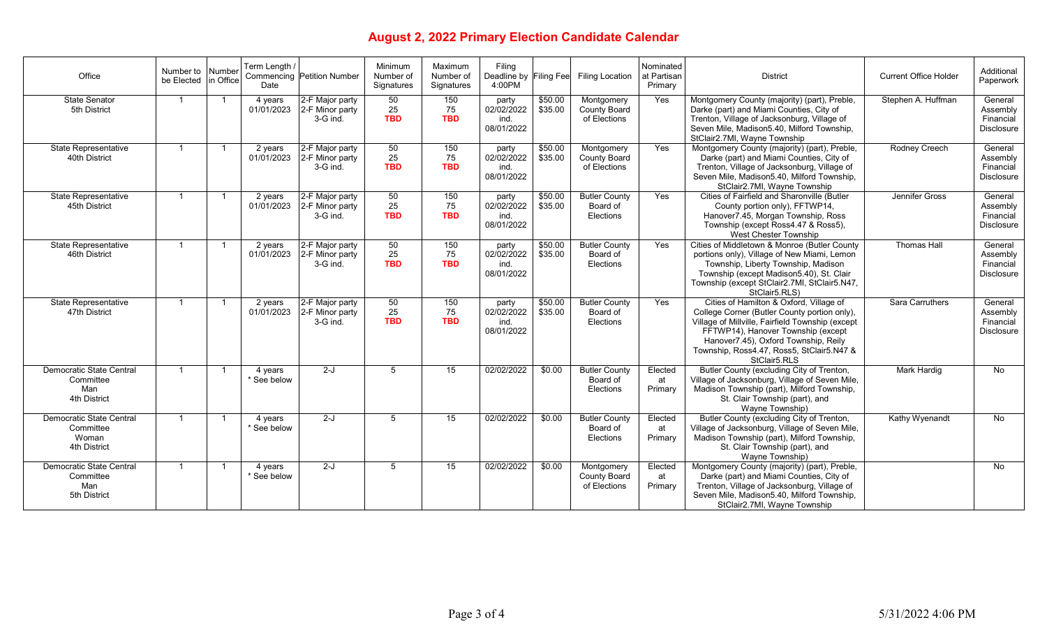## **August 2, 2022 Primary Election Candidate Calendar**

| Office                                                         | Number to Number<br>be Elected in Office |              | Term Lenath /<br>Date  | Commencing Petition Number                       | Minimum<br>Number of<br>Signatures | Maximum<br>Number of<br>Signatures | Filing<br>Deadline by Filing Fee<br>4:00PM |                    | Filing Location                                   | Nominated<br>at Partisan<br>Primary | <b>District</b>                                                                                                                                                                                                                                                                        | <b>Current Office Holder</b> | Additional<br>Paperwork                               |
|----------------------------------------------------------------|------------------------------------------|--------------|------------------------|--------------------------------------------------|------------------------------------|------------------------------------|--------------------------------------------|--------------------|---------------------------------------------------|-------------------------------------|----------------------------------------------------------------------------------------------------------------------------------------------------------------------------------------------------------------------------------------------------------------------------------------|------------------------------|-------------------------------------------------------|
| <b>State Senator</b><br>5th District                           |                                          |              | 4 years<br>01/01/2023  | 2-F Major party<br>2-F Minor party<br>3-G ind.   | 50<br>25<br><b>TBD</b>             | 150<br>75<br><b>TBD</b>            | party<br>02/02/2022<br>ind.<br>08/01/2022  | \$50.00<br>\$35.00 | Montgomery<br>County Board<br>of Elections        | Yes                                 | Montgomery County (majority) (part), Preble,<br>Darke (part) and Miami Counties, City of<br>Trenton, Village of Jacksonburg, Village of<br>Seven Mile, Madison5.40, Milford Township,<br>StClair2.7Ml, Wayne Township                                                                  | Stephen A. Huffman           | General<br>Assembly<br>Financial<br><b>Disclosure</b> |
| <b>State Representative</b><br>40th District                   |                                          |              | 2 years<br>01/01/2023  | 2-F Major party<br>2-F Minor party<br>3-G ind.   | 50<br>25<br><b>TBD</b>             | 150<br>75<br><b>TBD</b>            | party<br>02/02/2022<br>ind.<br>08/01/2022  | \$50.00<br>\$35.00 | Montgomery<br><b>County Board</b><br>of Elections | Yes                                 | Montgomery County (majority) (part), Preble,<br>Darke (part) and Miami Counties, City of<br>Trenton, Village of Jacksonburg, Village of<br>Seven Mile, Madison5.40, Milford Township,<br>StClair2.7MI, Wayne Township                                                                  | <b>Rodney Creech</b>         | General<br>Assembly<br>Financial<br><b>Disclosure</b> |
| <b>State Representative</b><br>45th District                   |                                          |              | 2 years<br>01/01/2023  | 2-F Major party<br>2-F Minor party<br>3-G ind.   | 50<br>25<br><b>TBD</b>             | 150<br>75<br><b>TBD</b>            | party<br>02/02/2022<br>ind.<br>08/01/2022  | \$50.00<br>\$35.00 | <b>Butler County</b><br>Board of<br>Elections     | Yes                                 | Cities of Fairfield and Sharonville (Butler<br>County portion only), FFTWP14,<br>Hanover7.45, Morgan Township, Ross<br>Township (except Ross4.47 & Ross5),<br>West Chester Township                                                                                                    | Jennifer Gross               | General<br>Assembly<br>Financial<br><b>Disclosure</b> |
| <b>State Representative</b><br>46th District                   |                                          |              | 2 years<br>01/01/2023  | 2-F Major party<br>2-F Minor party<br>3-G ind.   | 50<br>25<br><b>TBD</b>             | 150<br>75<br><b>TBD</b>            | party<br>02/02/2022<br>ind.<br>08/01/2022  | \$50.00<br>\$35.00 | <b>Butler County</b><br>Board of<br>Elections     | Yes                                 | Cities of Middletown & Monroe (Butler County<br>portions only), Village of New Miami, Lemon<br>Township, Liberty Township, Madison<br>Township (except Madison5.40), St. Clair<br>Township (except StClair2.7MI, StClair5.N47,<br>StClair5.RLS)                                        | <b>Thomas Hall</b>           | General<br>Assembly<br>Financial<br><b>Disclosure</b> |
| State Representative<br>47th District                          |                                          | -1           | 2 years<br>01/01/2023  | 2-F Major party<br>2-F Minor party<br>$3-G$ ind. | 50<br>25<br><b>TBD</b>             | 150<br>75<br><b>TBD</b>            | party<br>02/02/2022<br>ind.<br>08/01/2022  | \$50.00<br>\$35.00 | <b>Butler County</b><br>Board of<br>Elections     | Yes                                 | Cities of Hamilton & Oxford, Village of<br>College Corner (Butler County portion only),<br>Village of Millville, Fairfield Township (except<br>FFTWP14), Hanover Township (except<br>Hanover7.45), Oxford Township, Reily<br>Township, Ross4.47, Ross5, StClair5.N47 &<br>StClair5.RLS | Sara Carruthers              | General<br>Assembly<br>Financial<br><b>Disclosure</b> |
| Democratic State Central<br>Committee<br>Man<br>4th District   | $\overline{1}$                           | -1           | 4 years<br>* See below | $2-J$                                            | 5                                  | 15                                 | 02/02/2022                                 | \$0.00             | <b>Butler County</b><br>Board of<br>Elections     | Elected<br>at<br>Primary            | Butler County (excluding City of Trenton,<br>Village of Jacksonburg, Village of Seven Mile,<br>Madison Township (part), Milford Township,<br>St. Clair Township (part), and<br>Wavne Township)                                                                                         | Mark Hardig                  | No                                                    |
| Democratic State Central<br>Committee<br>Woman<br>4th District | $\overline{1}$                           | -1           | 4 years<br>* See below | $2-J$                                            | $5\overline{5}$                    | 15                                 | 02/02/2022                                 | \$0.00             | <b>Butler County</b><br>Board of<br>Elections     | Elected<br>at<br>Primary            | Butler County (excluding City of Trenton,<br>Village of Jacksonburg, Village of Seven Mile,<br>Madison Township (part), Milford Township,<br>St. Clair Township (part), and<br>Wavne Township)                                                                                         | Kathy Wyenandt               | No                                                    |
| Democratic State Central<br>Committee<br>Man<br>5th District   | $\overline{1}$                           | $\mathbf{1}$ | 4 years<br>* See below | $2-J$                                            | 5                                  | 15                                 | 02/02/2022                                 | \$0.00             | Montgomery<br><b>County Board</b><br>of Elections | Elected<br>at<br>Primary            | Montgomery County (majority) (part), Preble,<br>Darke (part) and Miami Counties, City of<br>Trenton, Village of Jacksonburg, Village of<br>Seven Mile, Madison5.40, Milford Township,<br>StClair2.7Ml, Wayne Township                                                                  |                              | No                                                    |